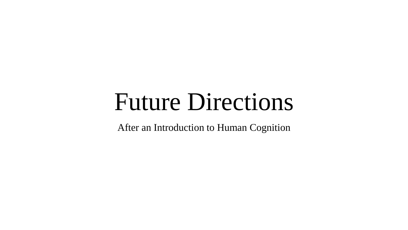## Future Directions

After an Introduction to Human Cognition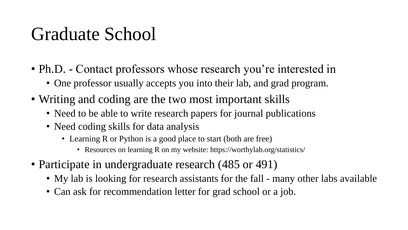## Graduate School

- Ph.D. Contact professors whose research you're interested in
	- One professor usually accepts you into their lab, and grad program.
- Writing and coding are the two most important skills
	- Need to be able to write research papers for journal publications
	- Need coding skills for data analysis
		- Learning R or Python is a good place to start (both are free)
			- Resources on learning R on my website: https://worthylab.org/statistics/
- Participate in undergraduate research (485 or 491)
	- My lab is looking for research assistants for the fall many other labs available
	- Can ask for recommendation letter for grad school or a job.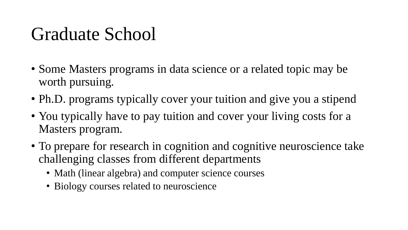## Graduate School

- Some Masters programs in data science or a related topic may be worth pursuing.
- Ph.D. programs typically cover your tuition and give you a stipend
- You typically have to pay tuition and cover your living costs for a Masters program.
- To prepare for research in cognition and cognitive neuroscience take challenging classes from different departments
	- Math (linear algebra) and computer science courses
	- Biology courses related to neuroscience